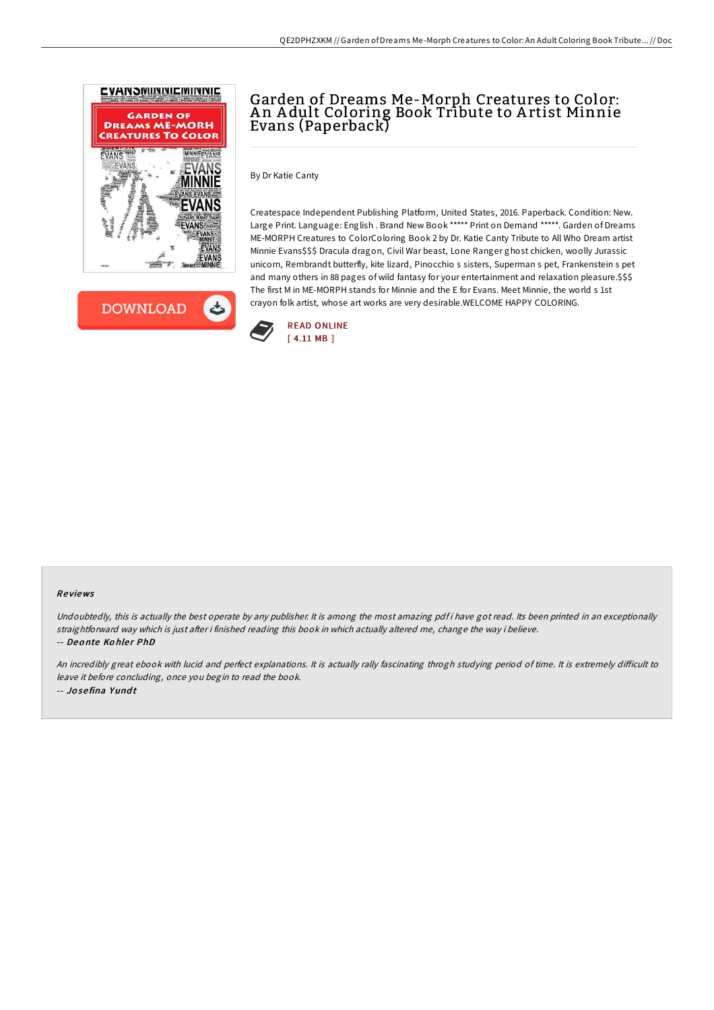



# Garden of Dreams Me-Morph Creatures to Color: A n A dult Coloring Book Tribute to A rtist Minnie Evans (Paperback)

By Dr Katie Canty

Createspace Independent Publishing Platform, United States, 2016. Paperback. Condition: New. Large Print. Language: English . Brand New Book \*\*\*\*\* Print on Demand \*\*\*\*\*. Garden of Dreams ME-MORPH Creatures to ColorColoring Book 2 by Dr. Katie Canty Tribute to All Who Dream artist Minnie Evans\$\$\$ Dracula dragon, Civil War beast, Lone Ranger ghost chicken, woolly Jurassic unicorn, Rembrandt butterfly, kite lizard, Pinocchio s sisters, Superman s pet, Frankenstein s pet and many others in 88 pages of wild fantasy for your entertainment and relaxation pleasure.\$\$\$ The first M in ME-MORPH stands for Minnie and the E for Evans. Meet Minnie, the world s 1st crayon folk artist, whose art works are very desirable.WELCOME HAPPY COLORING.



### Re views

Undoubtedly, this is actually the best operate by any publisher. It is among the most amazing pdf i have got read. Its been printed in an exceptionally straightforward way which is just after i finished reading this book in which actually altered me, change the way i believe. -- Deonte Kohler PhD

An incredibly great ebook with lucid and perfect explanations. It is actually rally fascinating throgh studying period of time. It is extremely difficult to leave it before concluding, once you begin to read the book. -- Jo se fina Y und t